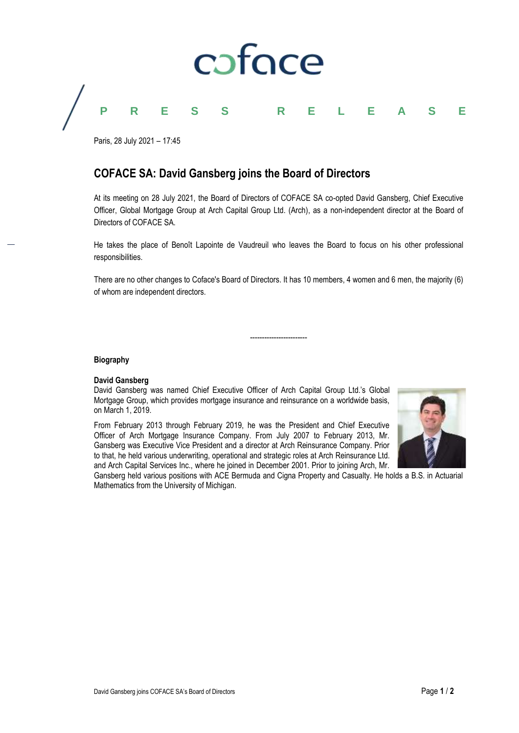

Paris, 28 July 2021 – 17:45

## **COFACE SA: David Gansberg joins the Board of Directors**

At its meeting on 28 July 2021, the Board of Directors of COFACE SA co-opted David Gansberg, Chief Executive Officer, Global Mortgage Group at Arch Capital Group Ltd. (Arch), as a non-independent director at the Board of Directors of COFACE SA.

He takes the place of Benoît Lapointe de Vaudreuil who leaves the Board to focus on his other professional responsibilities.

There are no other changes to Coface's Board of Directors. It has 10 members, 4 women and 6 men, the majority (6) of whom are independent directors.

------------------------

#### **Biography**

#### **David Gansberg**

David Gansberg was named Chief Executive Officer of Arch Capital Group Ltd.'s Global Mortgage Group, which provides mortgage insurance and reinsurance on a worldwide basis, on March 1, 2019.

From February 2013 through February 2019, he was the President and Chief Executive Officer of Arch Mortgage Insurance Company. From July 2007 to February 2013, Mr. Gansberg was Executive Vice President and a director at Arch Reinsurance Company. Prior to that, he held various underwriting, operational and strategic roles at Arch Reinsurance Ltd. and Arch Capital Services Inc., where he joined in December 2001. Prior to joining Arch, Mr.



Gansberg held various positions with ACE Bermuda and Cigna Property and Casualty. He holds a B.S. in Actuarial Mathematics from the University of Michigan.